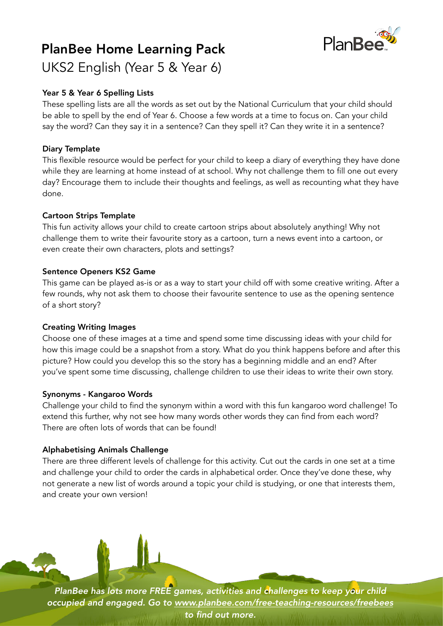# PlanBee Home Learning Pack UKS2 English (Year 5 & Year 6)



## Year 5 & Year 6 Spelling Lists

These spelling lists are all the words as set out by the National Curriculum that your child should be able to spell by the end of Year 6. Choose a few words at a time to focus on. Can your child say the word? Can they say it in a sentence? Can they spell it? Can they write it in a sentence?

## Diary Template

This flexible resource would be perfect for your child to keep a diary of everything they have done while they are learning at home instead of at school. Why not challenge them to fill one out every day? Encourage them to include their thoughts and feelings, as well as recounting what they have done.

## Cartoon Strips Template

This fun activity allows your child to create cartoon strips about absolutely anything! Why not challenge them to write their favourite story as a cartoon, turn a news event into a cartoon, or even create their own characters, plots and settings?

#### Sentence Openers KS2 Game

This game can be played as-is or as a way to start your child off with some creative writing. After a few rounds, why not ask them to choose their favourite sentence to use as the opening sentence of a short story?

## Creating Writing Images

Choose one of these images at a time and spend some time discussing ideas with your child for how this image could be a snapshot from a story. What do you think happens before and after this picture? How could you develop this so the story has a beginning middle and an end? After you've spent some time discussing, challenge children to use their ideas to write their own story.

#### Synonyms - Kangaroo Words

Challenge your child to find the synonym within a word with this fun kangaroo word challenge! To extend this further, why not see how many words other words they can find from each word? There are often lots of words that can be found!

## Alphabetising Animals Challenge

There are three different levels of challenge for this activity. Cut out the cards in one set at a time and challenge your child to order the cards in alphabetical order. Once they've done these, why not generate a new list of words around a topic your child is studying, or one that interests them, and create your own version!

*PlanBee has lots more FREE games, activities and challenges to keep your child occupied and engaged. Go to [www.planbee.com/free-teaching-resources/freebees](http://www.planbee.com/free-teaching-resources/freebees) to find out more.*